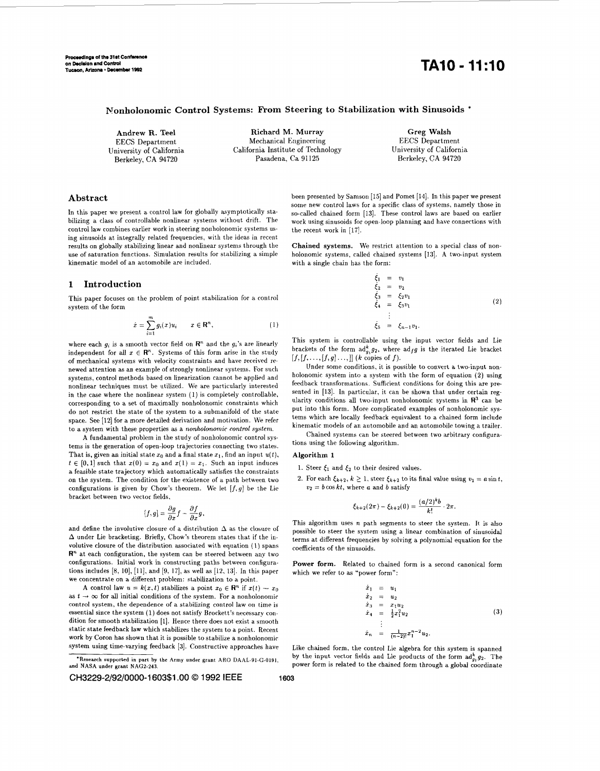# **Tucum, Arizona** \* **Doembu 1D82 TA10** - **11:lO**

## **Nonholonomic Control Systems: From Steering to Stabilization with Sinusoids** \*

Berkeley, **CA 94720** Pasadena, Ca 91125 Berkeley, **CA 94720** 

**Andrew R. Tee1 Richard M. Murray Greg Walsh**  EECS Department Mechanical Engineering EECS Department<br>
University of California California California Institute of Technology University of California University of California California Institute of Technology University of California

## **Abstract**

In this paper we present a control law for globally asymptotically stabilizing a class of controllable nonlinear systems without drift. The control law combines earlier work in steering nonholonomic systems using sinusoids at integrally related frequencies, with the ideas in recent results on globally stabilizing linear and nonlinear systems through the use of saturation functions. Simulation results for stabilizing **a** simple kinematic model of an automobile are included.

#### **1 Introduction**

This paper focuses on the problem of point stabilization for a control system of the form

$$
\dot{x} = \sum_{i=1}^{m} g_i(x) u_i \qquad x \in \mathbf{R}^n, \tag{1}
$$

where each  $g_i$  is a smooth vector field on  $\mathbb{R}^n$  and the  $g_i$ 's are linearly independent for all  $x \in \mathbb{R}^n$ . Systems of this form arise in the study of mechanical systems with velocity constraints and have received renewed attention as an example of strongly nonlinear systems. For such systems, control methods based on linearization cannot he applied and nonlinear techniques must be utilized. We are particularly interested in the case where the nonlinear system **(1)** is completely controllable, corresponding to a set of maximally nonholonomic constraints which do not restrict the state of the system to a submanifold of the state space. See [12] for a more detailed derivation and motivation. We refer to a system with these properties as a *nonholonomir control* system.

**A** fundamental problem in the study of nonholonomic control systems is the generation of open-loop trajectories connecting two states. That is, given an initial state  $x_0$  and a final state  $x_1$ , find an input  $u(t)$ ,  $t \in [0,1]$  such that  $x(0) = x_0$  and  $x(1) = x_1$ . Such an input induces **a** feasible state trajectory which automatically satisfies the constraints on the system. The condition for the existence of a path between two configurations is given by Chow's theorem. We let  $[f,g]$  be the Lie bracket between two vector fields,

$$
[f,g]=\frac{\partial g}{\partial x}f-\frac{\partial f}{\partial x}g,
$$

and define the involutive closure of a distribution  $\Delta$  as the closure of **A** under Lie bracketing. Briefly, Chow's theorem states that if the involutive closure of the distribution associated with equation (1) spans  $\mathbb{R}^n$  at each configuration, the system can be steered between any two configurations. Initial work in constructing paths between configurations includes [8, 10], [11], and [9, 17], as well as [12, 13]. In this paper we concentrate on a different problem: stabilization to a point.

A control law  $u = k(x, t)$  stabilizes a point  $x_0 \in \mathbb{R}^n$  if  $x(t) \to x_0$ as  $t \to \infty$  for all initial conditions of the system. For a nonholonomic control system, the dependence of a stabilizing control law on time is essential since the system (1) does not satisfy Brockett's necessary condition for smooth stabilization **[l].** Hence there does not exist **a** smooth static state feedback law which stabilizes the system to a point. Recent work by Coron has shown that it is possible to stabilize a nonholonomic system using time-varying feedback **[3].** Constructive approaches have

been presented by Samson [15] and Pomet **[14].** In this paper we present some new control laws for a specific class of systems, namely those in so-called chained form **[13].** These control laws are based on earlier work using sinusoids for open-loop planning and have connections with the recent work in **[17].** 

**Chained systems.** We restrict attention to a special class of nonholonomic systems, called chained systems **[13]. A** two-input system with a single chain has the form:

$$
\xi_1 = v_1 \n\xi_2 = v_2 \n\xi_3 = \xi_2 v_1 \n\xi_4 = \xi_3 v_1 \n\vdots \n\xi_5 = \xi_{n-1} v_1.
$$
\n(2)

This system is controllable using the input vector fields and Lie brackets of the form  $ad_{g}^{k}g_{2}$ , where  $ad_{fg}$  is the iterated Lie bracket  $[f, [f, \ldots, [f, g] \ldots]]$  *(k copies of f).* 

Under some conditions, it is possible to convert a two-input nonholonomic system into a system with the form of equation (2) using feedback transformations. Sufficient conditions for doing this are presented in **[13].** In particular, it can be shown that under certain regularity conditions **all** two-input nonholonomic systems in **R3** can be put into this form. More complicated examples of nonholonomic systems which are locally feedback equivalent to a chained form include kinematic models of an automobile and an automobile towing a trailer.

Chained systems can be steered between two arbitrary configurations using the following algorithm.

#### **Algorithm 1**

- 1. Steer  $\xi_1$  and  $\xi_2$  to their desired values.
- 2. For each  $\xi_{k+2}$ ,  $k \geq 1$ , steer  $\xi_{k+2}$  to its final value using  $v_1 = a \sin t$ ,  $v_2 = b \cos kt$ , where *a* and *b* satisfy

$$
\xi_{k+2}(2\pi) - \xi_{k+2}(0) = \frac{(a/2)^k b}{k!} \cdot 2\pi.
$$

This algorithm uses n path segments to steer the system. **It** is also possible to steer the system using a linear combination of sinusoidal terms at different frequencies by solving a polynomial equation for the coefficients of the sinusoids.

**Power form.**  Related to chained form is a second canonical form which we refer to as "power form":

$$
\dot{x}_1 = u_1 \n\dot{x}_2 = u_2 \n\dot{x}_3 = x_1 u_2 \n\dot{x}_4 = \frac{1}{2} x_1^2 u_2 \n\vdots \n\dot{x}_n = \frac{1}{(n-2)!} x_1^{n-2} u_2.
$$
\n(3)

Like chained form, the control Lie algebra for this system is spanned by the input vector fields and Lie products of the form  $ad_{q_1}^k g_2$ . The power form is related to the chained form through **a** global coordinate

**<sup>&#</sup>x27;Research supported in part by the Army under grant ARO DAAL-91-G-0191, and NASA under grant NAGZ-243**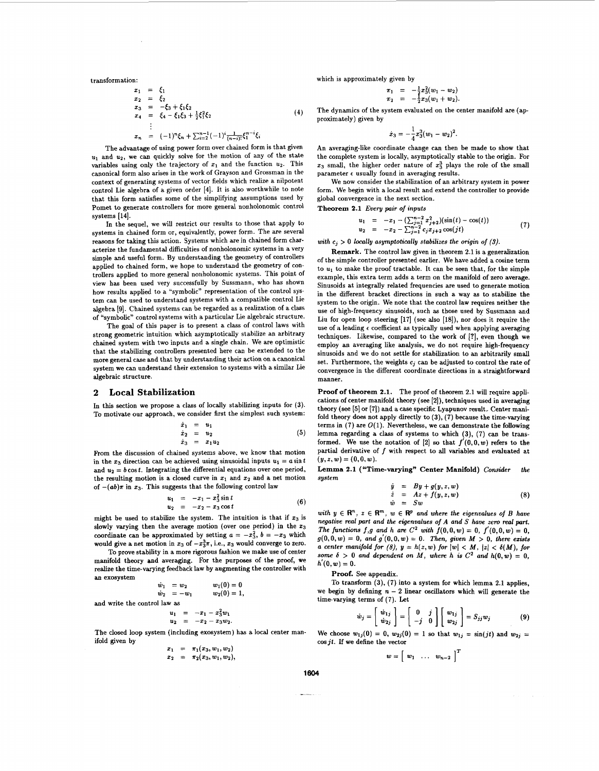$$
x_1 = \xi_1
$$
  
\n
$$
x_2 = \xi_2
$$
  
\n
$$
x_3 = -\xi_3 + \xi_1 \xi_2
$$
  
\n
$$
x_4 = \xi_4 - \xi_1 \xi_3 + \frac{1}{2} \xi_1^2 \xi_2
$$
  
\n
$$
\vdots
$$
  
\n
$$
x_n = (-1)^n \xi_n + \sum_{i=2}^{n-1} (-1)^i \frac{1}{(n-i)!} \xi_1^{n-i} \xi_i
$$
 (4)

The advantage of using power form over chained form is that given  $u_1$  and  $u_2$ , we can quickly solve for the motion of any of the state variables using only the trajectory of  $x_1$  and the function  $u_2$ . This canonical form also arises in the work of Grayson and Grossman in the context of generating systems of vector fields which realize a nilpotent control Lie algebra of a given order **[4].** It is also worthwhile to note that this form satisfies some of the simplifying assumptions used by Pomet to generate controllers for more general nonholonomic control systems [14].

In the sequel, we will restrict our results to those that apply to systems in chained form or, equivalently, power form. The are several reasons for taking this action. Systems which are in chained form characterize the fundamental difficulties of nonholonomic systems in a very simple and useful form. By understanding the geometry of controllers applied to chained form, we hope to understand the geometry of controllers applied to more general nonholonomic systems. This point of view has been used very successfully by Sussmann, who has shown how results applied to a "symbolic" representation of the control system can be used to understand systems with a compatible control Lie algebra **[9].** Chained systems can be regarded as a realization of a class of "symbolic" control systems with a particular Lie algebraic structure.

The goal of this paper is to present a class of control laws with strong geometric intuition which asymptotically stabilize an arbitrary chained system with two inputs and a single chain. We are optimistic that the stabilizing controllers presented here can be extended to the more general case and that by understanding their action on a canonical system we can understand their extension to systems with a similar Lie algebraic structure.

#### **2 Local Stabilization**

In this section we propose a class of locally stabilizing inputs for (3). To motivate our approach, we consider first the simplest such system:

$$
\begin{array}{rcl}\n\dot{x}_1 &=& u_1 \\
\dot{x}_2 &=& u_2 \\
\dot{x}_3 &=& x_1 u_2\n\end{array} \n\tag{5}
$$

From the discussion of chained systems above, we know that motion in the  $x_3$  direction can be achieved using sinusoidal inputs  $u_1 = a \sin t$ and  $u_2 = b \cos t$ . Integrating the differential equations over one period, the resulting motion is a closed curve in  $x_1$  and  $x_2$  and a net motion of  $-(ab)\pi$  in  $x_3$ . This suggests that the following control law

$$
u_1 = -x_1 - x_3^2 \sin t u_2 = -x_2 - x_3 \cos t
$$
 (6)

might be used to stabilize the system. The intuition is that if  $x_3$  is slowly varying then the average motion (over one period) in the **23**  coordinate can be approximated by setting  $a = -x_3^2$ ,  $b = -x_3$  which would give a net motion in  $x_3$  of  $-x_3^3\pi$ , i.e.,  $x_3$  would converge to zero.

To prove stability in a more rigorous fashion we make use of center manifold theory and averaging. For the purposes of the proof, we realize the time-varying feedback law by augmenting the controller with an exosystem

$$
\begin{array}{rcl}\n\dot{w}_1 &= w_2 & w_1(0) = 0 \\
\dot{w}_2 &= -w_1 & w_2(0) = 1,\n\end{array}
$$

and write the control law **as** 

$$
u_1 = -x_1 - x_3^2 w_1
$$
  

$$
u_2 = -x_2 - x_3 w_2.
$$

The closed loop system (including exosystem) has a local center manifold given by

$$
x_1 = \pi_1(x_3, w_1, w_2),
$$
  

$$
x_2 = \pi_2(x_3, w_1, w_2),
$$

transformation: which is approximately given by

$$
\pi_1 = -\frac{1}{2}x_3^2(w_1-w_2) \n\pi_2 = -\frac{1}{2}x_3(w_1+w_2).
$$

The dynamics of the system evaluated on the center manifold are (approximately) given by

$$
\dot{x}_3=-\frac{1}{4}x_3^3(w_1-w_2)^2.
$$

An averaging-like coordinate change can then be made to show that the complete system is locally, asymptotically stable to the origin. For  $x_3$  small, the higher order nature of  $x_3$  plays the role of the small parameter  $\epsilon$  usually found in averaging results.

We now consider the stabilization of an arbitrary system in power form. We begin with a local result and extend the controller to provide global convergence in the next section.

**Theorem 2.1** *Every* **pair** *of inputs* 

$$
u_1 = -x_1 - \left(\sum_{j=1}^{n-2} x_{j+2}^2\right)(\sin(t) - \cos(t))
$$
  
\n
$$
u_2 = -x_2 - \sum_{j=1}^{n-2} c_j x_{j+2} \cos(jt)
$$
 (7)

with  $c_i > 0$  locally asymptotically stabilizes the origin of (3).

**Remark.** The control law given in theorem 2.1 is a generalization of the simple controller presented earlier. We have added a cosine term to  $u_1$  to make the proof tractable. It can be seen that, for the simple example, this extra term adds a term on the manifold of zero average. Sinusoids at integrally related frequencies are used to generate motion in the different bracket directions in such a way **as** to stabilize the system to the origin. We note that the control law requires neither the use of high-frequency sinusoids, such **as** those used by Sussmann and Liu for open loop steering [17] (see also [18]), nor does it require the use of a leading **c** coefficient **as** typically used when applying averaging techniques. Likewise, compared to the work of [?], even though we employ an averaging like analysis, we do not require high-frequency sinusoids and we do not settle for stabilization **to** an arbitrarily small set. Furthermore, the weights  $c_i$  can be adjusted to control the rate of convergence in the different coordinate directions in a straightforward manner.

**Proof of theorem 2.1.** The proof of theorem 2.1 will require applications of center manifold theory (see **[2]),** techniques used in averaging theory (see **(51** or [7]) and a case specific Lyapunov result, Center manifold theory does not apply directly to **(3), (7)** because the timevarying terms in  $(7)$  are  $O(1)$ . Nevertheless, we can demonstrate the following lemma regarding a class of systems to which **(3),** (7) can be transformed. We use the notation of [2] so that  $f'(0,0,w)$  refers to the partial derivative of *f* with respect to all variables and evaluated at  $(y, z, w) = (0, 0, w).$ 

**Lemma 2.1 ("Time-varying" Center Manifold)** *Consider the system* 

$$
\dot{y} = By + g(y, z, w)
$$
  
\n
$$
\dot{z} = Az + f(y, z, w)
$$
  
\n
$$
\dot{w} = Sw
$$
\n(8)

*with*  $y \in \mathbb{R}^n$ ,  $z \in \mathbb{R}^m$ ,  $w \in \mathbb{R}^p$  and where the eigenvalues of *B* have *negative real part and the eigenvalues of A and* S *haw zem real part. The functions f,g and h are*  $C^2$  *with*  $f(0,0,w) = 0$ *,*  $f'(0,0,w) = 0$ *.*  $g(0,0,w) = 0$ , and  $g'(0,0,w) = 0$ . Then, given  $M > 0$ , there exists *a center manifold for* (8),  $y = h(z, w)$  for  $|w| < M$ ,  $|z| < \delta(M)$ , for *some*  $\delta > 0$  and dependent on M, where h is  $C^2$  and  $h(0, w) = 0$ ,  $h'(0,w) = 0$ .

**Proof.** See appendix.

To transform **(3), (7)** into a system for which lemma 2.1 applies, we begin by defining  $n-2$  linear oscillators which will generate the time-varying terms of (7). Let

$$
\dot{w}_j = \left[\begin{array}{c} \dot{w}_{1j} \\ \dot{w}_{2j} \end{array}\right] = \left[\begin{array}{cc} 0 & j \\ -j & 0 \end{array}\right] \left[\begin{array}{c} w_{1j} \\ w_{2j} \end{array}\right] = S_{jj}w_j \tag{9}
$$

We choose  $w_{1j}(0) = 0$ ,  $w_{2j}(0) = 1$  so that  $w_{1j} = \sin(jt)$  and  $w_{2j} =$  $\cos jt$ . If we define the vector

$$
w = \left[ \begin{array}{ccc} w_1 & \ldots & w_{n-2} \end{array} \right]^T
$$

**1604**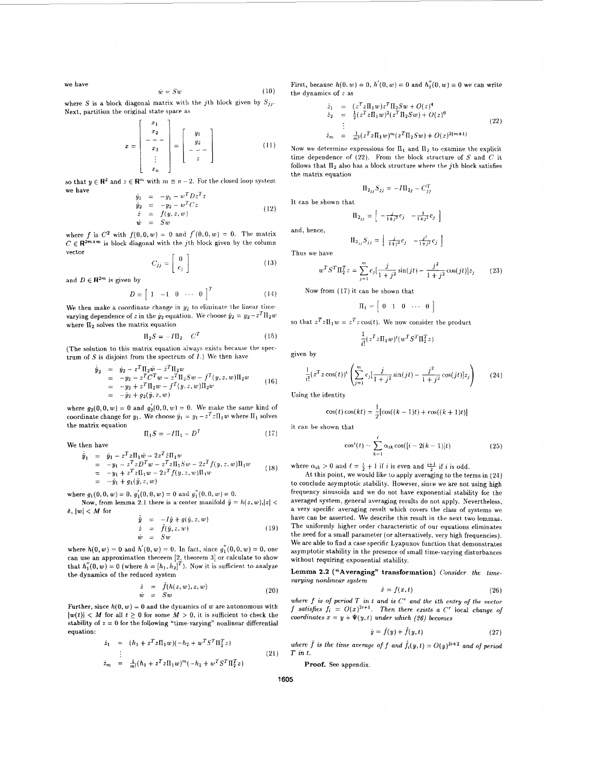we have

$$
\dot{w} = Sw \tag{10}
$$

where *S* is a block diagonal matrix with the *j*th block given by  $S_{jj}$ . Next, partition the original state space as

$$
x = \begin{bmatrix} x_1 \\ x_2 \\ - & - \\ x_3 \\ \vdots \\ x_n \end{bmatrix} = \begin{bmatrix} y_1 \\ y_2 \\ - & - \\ z \end{bmatrix}
$$
 (11)

so that  $y \in \mathbb{R}^2$  and  $z \in \mathbb{R}^m$  with  $m \equiv n-2$ . For the closed loop system we have

$$
\begin{array}{rcl}\n\dot{y}_1 &=& -y_1 - w^T D z^T z \\
\dot{y}_2 &=& -y_2 - w^T C z \\
\dot{z} &=& f(y, z, w) \\
\dot{w} &=& S w\n\end{array} \n\tag{12}
$$

where f is  $C^2$  with  $f(0,0,w) = 0$  and  $f'(0,0,w) = 0$ . The matrix  $C \in \mathbf{R}^{2m \times m}$  is block diagonal with the *j*th block given by the column vector ...

$$
C_{jj} = \left[ \begin{array}{c} 0 \\ c_j \end{array} \right] \tag{13}
$$

and  $D \in \mathbf{R}^{2m}$  is given by

$$
D = \begin{bmatrix} 1 & -1 & 0 & \cdots & 0 \end{bmatrix}^T \tag{14}
$$

We then make a coordinate change in  $y_2$  to eliminate the linear timevarying dependence of *z* in the  $\dot{y}_2$  equation. We choose  $\tilde{y}_2 = y_2 - z^T \Pi_2 w$ where  $\Pi_2$  solves the matrix equation

$$
\Pi_2 S = -I\Pi_2 \quad C^T \tag{15}
$$

(The solution to this matrix equation always exists because the spectrum of  $S$  is disjoint from the spectrum of  $I$ .) We then have

$$
\dot{\tilde{y}}_2 = \dot{y}_2 - z^T \Pi_2 \dot{w} - z^T \Pi_2 w \n= -y_2 - z^T C^T w - z^T \Pi_2 S w - f^T (y, z, w) \Pi_2 w \n= -y_2 + z^T \Pi_2 w - f^T (y, z, w) \Pi_2 w \n= -\tilde{y}_2 + g_2(\tilde{y}, z, w)
$$
\n(16)

where  $g_2(0,0,w) = 0$  and  $g'_2(0,0,w) = 0$ . We make the same kind of coordinate change for  $y_1$ . We choose  $\tilde{y}_1 = y_1 - z^T z \Pi_1 w$  where  $\Pi_1$  solves the matrix equation

$$
\Pi_1 S = -I\Pi_1 - D^T \tag{17}
$$

We then have

$$
\dot{\tilde{y}}_1 = \dot{y}_1 - z^T z \Pi_1 \dot{w} - 2z^T \dot{z} \Pi_1 w \n= -y_1 - z^T z D^T w - z^T z \Pi_1 S w - 2z^T f(y, z, w) \Pi_1 w \n= -y_1 + z^T z \Pi_1 w - 2z^T f(y, z, w) \Pi_1 w \n= -\ddot{y}_1 + g_1(\ddot{y}, z, w)
$$
\n(18)

where  $q_1(0,0,w) = 0$ ,  $q'_1(0,0,w) = 0$  and  $q''_1(0,0,w) = 0$ .

 $\delta$ ,  $|w|$  < *M* for Now, from lemma 2.1 there is a center manifold  $\tilde{y} = h(z, w), |z|$ 

$$
\begin{array}{rcl}\n\hat{y} & = & -I\hat{y} + g(\hat{y}, z, w) \\
\dot{z} & = & \hat{f}(\hat{y}, z, w) \\
\dot{w} & = & Sw\n\end{array} \tag{19}
$$

where  $h(0, w) = 0$  and  $h'(0, w) = 0$ . In fact, since  $g''_1(0, 0, w) = 0$ , one can use an approximation theorem  $[2,$  theorem 3] or calculate to show that  $h''_1(0, w) = 0$  (where  $h = [h_1, h_2]^T$ ). Now it is sufficient to analyze the dynamics of the reduced system

$$
\begin{array}{rcl}\n\dot{z} & = & \bar{f}(h(z,w),z,w) \\
\dot{w} & = & Sw\n\end{array}\n\tag{20}
$$

Further, since  $h(0, w) = 0$  and the dynamics of *w* are autonomous with  $|\mathbf{w}(t)| < M$  for all  $t \geq 0$  for some  $M > 0$ , it is sufficient to check the stability **of** *z* = 0 **for** the following "time-varying" nonlinear differential equation:

$$
\dot{z}_1 = (h_1 + z^T z \Pi_1 w)(-h_2 + w^T S^T \Pi_2^T z)
$$
  
... (21)

$$
\dot{z}_m = \frac{1}{m!} (h_1 + z^T z \Pi_1 w)^m (-h_2 + w^T S^T \Pi_2^T z)
$$

First, because  $h(0, w) = 0$ ,  $h'(0, w) = 0$  and  $h''(0, w) = 0$  we can write the dynamics of *z* as

$$
\dot{z}_1 = (z^T z \Pi_1 w) z^T \Pi_2 S w + O(z)^4 \n\dot{z}_2 = \frac{1}{2} (z^T z \Pi_1 w)^2 (z^T \Pi_2 S w) + O(z)^6 \n\vdots \n\dot{z}_m = \frac{1}{m!} (z^T z \Pi_1 w)^m (z^T \Pi_2 S w) + O(z)^{2(m+1)}
$$
\n(22)

Now we determine expressions for  $\Pi_1$  and  $\Pi_2$  to examine the explicit time dependence of *(22).* From the block structure of *S* and *C* it follows that  $\Pi_2$  also has a block structure where the *j*th block satisfies the matrix equation

$$
\Pi_{2jj} S_{jj} = -I \Pi_{2j} - C_{jj}^T
$$

It can be shown that

t  

$$
\Pi_{2_{j}j} = \begin{bmatrix} -\frac{j}{1+j^2}c_j & -\frac{1}{1+j^2}c_j \end{bmatrix}
$$

 $\Pi_{2_{jj}}S_{jj} = \left[ \begin{array}{cc} \frac{j}{1+j^2}c_j & -\frac{j^2}{1+j^2}c_j \end{array} \right]$ 

and, hence,

Thus we have

$$
w^T S^T \Pi_2^T z = \sum_{j=1}^m c_j \left[ \frac{j}{1+j^2} \sin(jt) - \frac{j^2}{1+j^2} \cos(jt) \right] z_j \qquad (23)
$$

Now from (17) it can be shown that

$$
\Pi_1 = \begin{bmatrix} 0 & 1 & 0 & \cdots & 0 \end{bmatrix}
$$

so that  $z^T z \Pi_1 w = z^T z \cos(t)$ . We now consider the product

$$
\frac{1}{i!} (z^T z \Pi_1 w)^i (w^T S^T \Pi_2^T z)
$$

given by

$$
\frac{1}{i!} (z^T z \cos(t))^t \left( \sum_{j=1}^m c_j \left[ \frac{j}{1+j^2} \sin(jt) - \frac{j^2}{1+j^2} \cos(jt) \right] z_j \right) \tag{24}
$$

Using the identity

$$
\cos(t)\cos(kt) = \frac{1}{2} [\cos((k-1)t) + \cos((k+1)t)]
$$

it can be shown that

$$
\cos^{i}(t) = \sum_{k=1}^{\ell} \alpha_{ik} \cos([i-2(k-1)]t)
$$
 (25)

where  $\alpha_{ik} > 0$  and  $\ell = \frac{i}{2} + 1$  if *i* is even and  $\frac{i+1}{2}$  if *i* is odd.

At this point, we would **like** to apply averaging to the terms in **(24)**  to conclude asymptotic stability. However, since we are not using high frequency sinusoids and we do not have exponential stability for the averaged system, general averaging results do not apply. Nevertheless, a very specific averaging **result** which covers the class of systems we have can be asserted. We describe this result in the next two lemmas. The uniformly higher order characteristic of our equations eliminates the need for a small parameter (or alternatively. very high frequencies). We are able to find **a** case specific Lyapunov functiori that demonstrates asymptotic stability in the presence of small time-varying disturbances without requiring exponential stability.

Lemma 2.2 ("Averaging" transformation) Consider the time*varying nonlinear system* 

$$
\dot{x} = f(x, t) \tag{26}
$$

*where f is of period T in t and is C' and the ith entry of the* **vector**  *f* satisfies  $f_i = O(x)^{2i+1}$ . Then there exists a C<sup>r</sup> local change of *coordinates*  $x = y + \Psi(y, t)$  *under which (26) becomes* 

$$
\dot{y} = \bar{f}(y) + \hat{f}(y, t) \tag{27}
$$

*where*  $\overline{f}$  *is the time average of*  $f$  *and*  $\hat{f}_i(y,t) = O(y)^{2i+2}$  *and of period*  $\overline{T}$  *in t.* 

**Proof.** See appendix.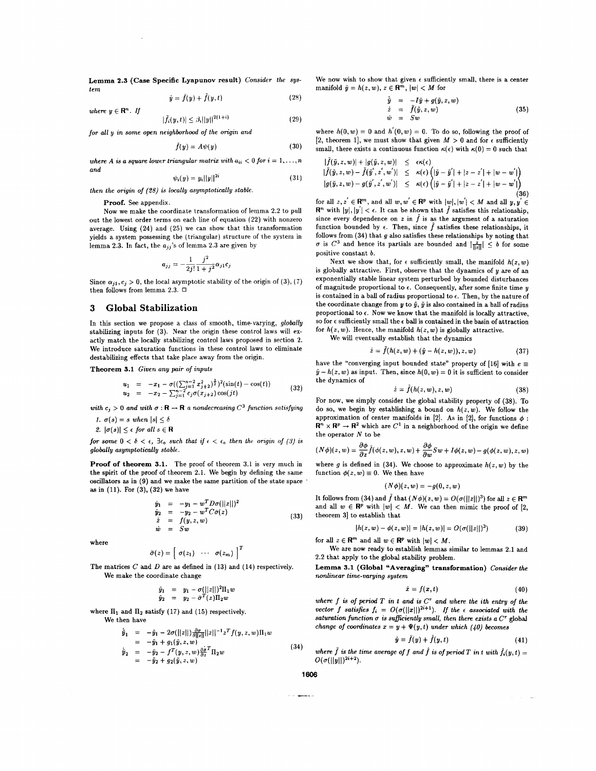**Lemma 2.3 (Case Specific Lyapunov result) Consider the system**   $\mathbf{r} = \mathbf{r} \times \mathbf{r} \times \mathbf{r}$ 

$$
\dot{y} = f(y) + f(y, t) \tag{28}
$$

$$
|\tilde{f}_i(y,t)| \leq \beta_i ||y||^{2(1+i)} \tag{29}
$$

for all y in some open neighborhood of the origin and

$$
\bar{f}(y) = A\psi(y) \tag{30}
$$

where A is a square lower triangular matrix with  $a_{ii} < 0$  for  $i = 1, \ldots, n$ **and** 

$$
\psi_i(y) = y_i ||y||^{2t} \tag{31}
$$

then the origin of (28) is locally asymptotically stable.

Proof. See appendix.

where  $y \in \mathbb{R}^n$ . If

Now we make the coordinate transformation of lemma **2.2** to pull out the lowest order terms on each line of equation **(22)** with nonzero average. Using **(24)** and **(25)** we can show that this transformation yields a system possessing the (triangular) structure of the system in lemma 2.3. In fact, the  $a_{jj}$ 's of lemma 2.3 are given by

$$
a_{jj} = -\frac{1}{2j!} \frac{j^2}{1+j^2} \alpha_{j1} c
$$

Since  $\alpha_{j1}, c_j > 0$ , the local asymptotic stability of the origin of (3), (7) then follows from lemma **2.3.** U

### **3 Global Stabilization**

In this section we propose a class of smooth, time-varying, **globally**  stabilizing inputs for **(3).** Near the origin these control laws will exactly match the locally stabilizing control laws proposed in section **2.**  We introduce saturation functions in these control laws to eliminate destabilizing effects that take place away from the origin.

**Theorem 3.1 Given any pair of inputs** 

$$
u_1 = -x_1 - \sigma((\sum_{j=1}^{n-2} x_{j+2}^2)^{\frac{1}{2}})^2(\sin(t) - \cos(t))
$$
  
\n
$$
u_2 = -x_2 - \sum_{j=1}^{n-2} c_j \sigma(x_{j+2}) \cos(jt)
$$
\n(32)

with  $c_j > 0$  and with  $\sigma : \mathbf{R} \to \mathbf{R}$  a nondecreasing  $C^3$  function satisfying

*1.*  $\sigma(s) = s$  when  $|s| \leq \delta$ 

2.  $|\sigma(s)| \leq \epsilon$  for all  $s \in \mathbf{R}$ 

for some  $0 < \delta < \epsilon$ ,  $\exists \epsilon_0$  such that if  $\epsilon < \epsilon_0$  then the origin of (3) is **globally asymptotically stable.** 

**Proof of theorem 3.1.** The proof of theorem **3.1** is very much in the spirit of the proof of theorem **2.1.** We begin by defining the same oscillators **as** in **(9)** and we make the same partition of the state space **as** in **(11).** For **(3), (32)** we have

$$
\dot{y}_1 = -y_1 - w^T D \sigma(||z||)^2 \n\dot{y}_2 = -y_2 - w^T C \bar{\sigma}(z) \n\dot{z} = f(y, z, w) \n\dot{w} = Sw
$$
\n(33)

where

$$
\bar{\sigma}(z) = \left[\begin{array}{ccc} \sigma(z_1) & \cdots & \sigma(z_m) \end{array}\right]^T
$$

The matrices **C** and *D* are **as** defined in **(13)** and **(14)** respectively. We make the coordinate change

$$
\tilde{y}_1 = y_1 - \sigma(||z||)^2 \Pi_1 w \n\tilde{y}_2 = y_2 - \bar{\sigma}^T(z) \Pi_2 w
$$

where  $\Pi_1$  and  $\Pi_2$  satisfy (17) and (15) respectively.

We then have

 $\dot{\bar{y}}_1 = -\tilde{y}_1 - 2\sigma(||z||) \frac{\partial \sigma}{\partial ||z||} ||z||^{-1} z^T f(y, z, w) \Pi_1 w$ <br>=  $-\tilde{y}_1 + g_1(\tilde{y}, z, w)$  $\dot{y}_2 = -\tilde{y}_1 + \frac{y_1(y_1, z_1, w')}{y_2} = -\tilde{y}_2 - f^T(y_1, z, w) \frac{\partial \dot{\theta}^T}{\partial z} \Pi_2 w$  (34)

$$
= -\tilde{y}_2 + g_2(\tilde{y}, z, w)
$$

We now wish to show that given  $\epsilon$  sufficiently small, there is a center manifold  $\tilde{y} = h(z, w), z \in \mathbb{R}^m, |w| < M$  for

$$
\dot{\tilde{y}} = -I\tilde{y} + g(\tilde{y}, z, w) \n\dot{z} = \tilde{f}(\tilde{y}, z, w) \n\dot{w} = Sw
$$
\n(35)

where  $h(0, w) = 0$  and  $h'(0, w) = 0$ . To do so, following the proof of [2, theorem 1], we must show that given  $M > 0$  and for  $\epsilon$  sufficiently small, there exists a continuous function  $\kappa(\epsilon)$  with  $\kappa(0) = 0$  such that

$$
|f(\tilde{y}, z, w)| + |g(\tilde{y}, z, w)| \leq \epsilon \kappa(\epsilon) |\tilde{f}(\tilde{y}, z, w) - \tilde{f}(\tilde{y}', z', w')| \leq \kappa(\epsilon) (|\tilde{y} - \tilde{y}'| + |z - z'| + |w - w'|)|g(\tilde{y}, z, w) - g(\tilde{y}', z', w')| \leq \kappa(\epsilon) (|\tilde{y} - \tilde{y}'| + |z - z'| + |w - w'|)(36)
$$

for all  $z, z' \in \mathbb{R}^m$ , and all  $w, w' \in \mathbb{R}^p$  with  $|w|, |w'| < M$  and all  $y, y' \in$  $\mathbb{R}^n$  with  $|y|, |y'| < \epsilon$ . It can be shown that  $\tilde{f}$  satisfies this relationship, since every dependence on  $z$  in  $\tilde{f}$  is as the argument of a saturation function bounded by  $\epsilon$ . Then, since  $\tilde{f}$  satisfies these relationships, it follows from **(34)** that **g** also satisfies these relationships by noting that  $\sigma$  is  $C^3$  and hence its partials are bounded and  $\frac{z}{\|x\|} \leq b$  for some positive constant **b.** 

Next we show that, for  $\epsilon$  sufficiently small, the manifold  $h(z, w)$ is globally attractive. First, observe that the dynamics of **y** are of an exponentially stable linear system perturbed by bounded disturbances of magnitude proportional to  $\epsilon$ . Consequently, after some finite time  $y$ is contained in a ball of radius proportional to  $\epsilon$ . Then, by the nature of the coordinate change from  $y$  to  $\tilde{y}$ ,  $\tilde{y}$  is also contained in a ball of radius proportional to **c.** Now we know that the manifold is locally attractive, so for  $\epsilon$  sufficiently small the  $\epsilon$  ball is contained in the basin of attraction for  $h(z, w)$ . Hence, the manifold  $h(z, w)$  is globally attractive. We will eventually establish that the dynamics

$$
\dot{z} = \tilde{f}(h(z, w) + (\tilde{y} - h(z, w)), z, w)
$$
 (37)

have the "converging input bounded state" property of [16] with  $e \equiv$  $\tilde{y} - h(z, w)$  as input. Then, since  $h(0, w) = 0$  it is sufficient to consider the dynamics of

$$
\dot{z} = \tilde{f}(h(z, w), z, w) \tag{38}
$$

For now, we simply consider the global stability property of **(38).** To do so, we begin by establishing a bound on  $h(z, w)$ . We follow the approximation of center manifolds in [2]. As in [2], for functions  $\phi$ :  $\mathbb{R}^n \times \mathbb{R}^p \to \mathbb{R}^2$  which are  $C^1$  in a neighborhood of the origin we define the operator  ${\cal N}$  to be

$$
(N\phi)(z,w)=\frac{\partial \phi}{\partial z}\tilde{f}(\phi(z,w),z,w)+\frac{\partial \phi}{\partial w}Sw+I\phi(z,w)-g(\phi(z,w),z,w)
$$

where *g* is defined in (34). We choose to approximate  $h(z, w)$  by the function  $\phi(z, w) \equiv 0$ . We then have

$$
(N\phi)(z,w)=-g(0,z,w)
$$

It follows from (34) and  $\tilde{f}$  that  $(N\phi)(z,w) = O(\sigma(||z||)^3)$  for all  $z \in \mathbb{R}^m$ and all  $w \in \mathbb{R}^p$  with  $|w| < M$ . We can then mimic the proof of [2, theorem **31** to establish that

$$
|h(z, w) - \phi(z, w)| = |h(z, w)| = O(\sigma(||z||)^3)
$$
 (39)

for all  $z \in \mathbb{R}^m$  and all  $w \in \mathbb{R}^p$  with  $|w| < M$ .

We are now ready to establish lemmas similar to lemmas 2.1 and 2.2 that apply to the global stability problem.

**Lemma 3.1 (Global "Averaging" transformation) Consider the nonlinear time-varying system** 

$$
\dot{x} = f(x, t) \tag{40}
$$

where  $f$  is of period  $T$  in  $t$  and  $a$  is  $C^r$  and where the ith entry of the vector *f* satisfies  $f_i = O(\sigma(||x||)^{2i+1})$ . If the  $\epsilon$  associated with the saturation function  $\sigma$  is sufficiently small, then there exists a  $C^{\tau}$  global *change of coordinates*  $x = y + \Psi(y, t)$  *under which* (40) *becomes* 

$$
\dot{y} = \bar{f}(y) + \hat{f}(y, t) \tag{41}
$$

where  $\tilde{f}$  is the time average of  $f$  and  $\hat{f}$  is of period  $T$  in t with  $\hat{f}_i(y,t)$  =  $O(\sigma(||y||)^{2i+2}).$ 

**1606** 

**Sold Service**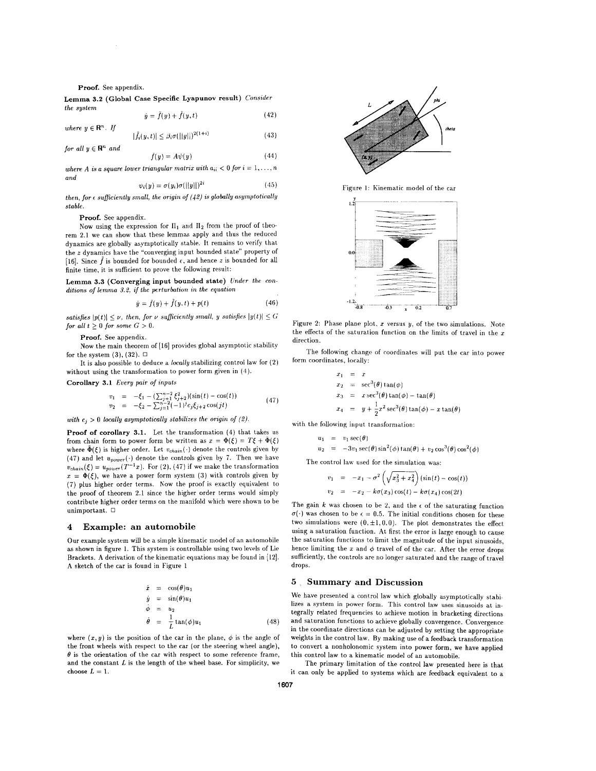#### **Proof.** See appendix.

**Lemma 3.2 (Global Case Specific Lyapunov result)** *Consider the system* 

$$
\dot{y} = \bar{f}(y) + \tilde{f}(y, t)
$$
\n
$$
|\tilde{f}_i(y, t)| \le \beta_i \sigma(||y||)^{2(1+i)}
$$
\n(43)

where 
$$
y \in \mathbb{R}^n
$$
. If

for all 
$$
y \in \mathbb{R}^n
$$
 and

$$
f(y) = A\psi(y) \tag{44}
$$

*where A is a square lower triangular matrix with*  $a_{ii} < 0$  *for*  $i = 1, \ldots, n$ *and* 

$$
\psi_i(y) = \sigma(y_i)\sigma(||y||)^{2i} \tag{45}
$$

*then, for*  $\epsilon$  *sufficiently small, the origin of*  $(42)$  *is globally asymptotically stable.* 

#### **Proof.** See appendix.

Now using the expression for  $\Pi_1$  and  $\Pi_2$  from the proof of theorem **2.1** we can show that these lemmas apply and thus the reduced dynamics are globally asymptotically stable. It remains to verify that the *z* dynamics have the "converging input bounded state" property of [16]. Since  $\tilde{f}$  is bounded for bounded  $\epsilon$ , and hence *z* is bounded for all finite time, it is sufficient to prove the following result:

**Lemma 3.3 (Converging input bounded state)** *Under the conditions* of *lemma 3.2.* if *the perturbation in the equation* 

$$
\dot{y} = \bar{f}(y) + \tilde{f}(y, t) + p(t) \tag{46}
$$

*satisfies*  $|p(t)| \leq \nu$ , *then, for*  $\nu$  *sufficiently small, y satisfies*  $|y(t)| \leq G$ for all  $t \geq 0$  for some  $G > 0$ .

#### **Proof.** See appendix.

Now the main theorem of [16] provides global asymptotic stability for the system **(3), (32).** *0* 

It is also possible to deduce a *locally* stabilizing control law for **(2)**  without using the transformation to power form given in (4).

**Corollary 3.1** Every pair of *inputs* 

$$
v_1 = -\xi_1 - (\sum_{j+1}^{n-2} \xi_{j+2}^2)(\sin(t) - \cos(t))
$$
  
\n
$$
v_2 = -\xi_2 - \sum_{j=1}^{n-2} (-1)^j c_j \xi_{j+2} \cos(jt)
$$
\n(47)

*with*  $c_i > 0$  *locally asymptotically stabilizes the origin of (2).* 

**Proof of corollary 3.1.** Let the transformation (4) that takes us from chain form to power form be written as  $x = \Phi(\xi) = T\xi + \bar{\Phi}(\xi)$ where  $\bar{\Phi}(\xi)$  is higher order. Let  $v_{chain}(\cdot)$  denote the controls given by (47) and let  $u_{power}(\cdot)$  denote the controls given by 7. Then we have  $v_{chain}(\xi) = u_{power}(T^{-1}x)$ . For (2), (47) if we make the transformation  $x = \Phi(\xi)$ , we have a power form system (3) with controls given by (7) plus higher order terms. Now the proof is exactly equivalent to the proof of theorem **2.1** since the higher order terms would simply contribute higher order terms on the manifold which were shown to be unimportant. *0* 

#### **4 Example: an automobile**

Our example system will be a simple kinematic model of an automobile **as** shown in figure 1. This system is controllable using two levels of Lie Brackets. **A** derivation of the kinematic equations may be found in [12]. **A** sketch of the car is found in Figure 1

$$
\dot{x} = \cos(\theta)u_1
$$
  
\n
$$
\dot{y} = \sin(\theta)u_1
$$
  
\n
$$
\dot{\phi} = u_2
$$
  
\n
$$
\dot{\theta} = \frac{1}{L}\tan(\phi)u_1
$$
\n(48)

where  $(x, y)$  is the position of the car in the plane,  $\phi$  is the angle of the front wheels with respect to the car (or the steering wheel angle),  $\theta$  is the orientation of the car with respect to some reference frame, and the constant *L* is the length of the wheel base. For simplicity, we choose  $L = 1$ .



Figure 1: Kinematic model of the car



Figure **2:** Phase plane plot. *I* versus y, *of* the two simulations. Note the effects of the saturation function on the limits of travel in the *x*  direction.

The following change of roordinates will put the car into power form coordinates, locally:

$$
x_1 = x
$$
  
\n
$$
x_2 = \sec^3(\theta) \tan(\phi)
$$
  
\n
$$
x_3 = x \sec^3(\theta) \tan(\phi) - \tan(\theta)
$$
  
\n
$$
x_4 = y + \frac{1}{2}x^2 \sec^3(\theta) \tan(\phi) - x \tan(\theta)
$$

with the following input transformation:

$$
u_1 = v_1 \sec(\theta)
$$
  
\n
$$
u_2 = -3v_1 \sec(\theta) \sin^2(\phi) \tan(\theta) + v_2 \cos^3(\theta) \cos^2(\phi)
$$

The control law used for the simulation was:  

$$
v_1 = -x_1 - \sigma^2 \left( \sqrt{x_3^2 + x_4^2} \right) (\sin(t) - \cos(t))
$$

$$
v_2 = -x_2 - k\sigma(x_3)\cos(t) - k\sigma(x_4)\cos(2t)
$$

The gain  $k$  was chosen to be 2, and the  $\epsilon$  of the saturating function  $\sigma(\cdot)$  was chosen to be  $\epsilon = 0.5$ . The initial conditions chosen for these two simulations were  $(0, \pm 1, 0, 0)$ . The plot demonstrates the effect using a saturation function. *At* first the error is large enough to cause the saturation functions to limit the magnitude of the input sinusoids, hence limiting the  $x$  and  $\phi$  travel of of the car. After the error drops sufficiently, the controls are no longer saturated and the range of travel drops.

#### **5** ~ **Summary and Discussion**

We have presented a control law which globally asymptotically stahilizes **a** system in power form. This control law uses sinusoids at integrally related frequencies to achieve motion in bracketing directions and saturation functions to achieve globally convergence. Convergence in the coordinate directions can be adjusted by setting the appropriate weights in the control law. By making use of a feedback transformation to convert a nonholonomic system into power form, we have applied this control law to a kinematic model of an automobile.

The primary limitation of the control law presented here is that it can only be applied to systems which are feedback equivalent to a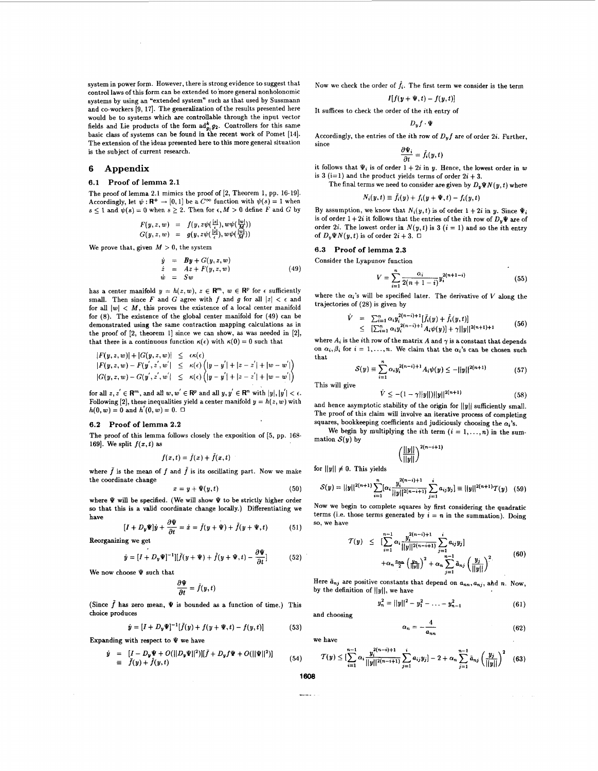system in power form. However, there is strong evidence to suggest that control laws of this form can be extended to 'more general nonholonomic systems by using an "extended system" such **as** that used by Sussmann and co-workers **[9, 171.** The generalization of the results presented here would be to systems which are controllable through the input vector fields and Lie products of the form  $ad_{a}^{k}g_{2}$ . Controllers for this same basic class of systems can be found in the recent work of Pomet **[14].**  The extension of the ideas presented here to this more general situation is the subject of current research.

#### **6 Appendix**

#### **6.1 Proof of lemma 2.1**

The proof of lemma **2.1** mimics the proof of **[2,** Theorem **1,** pp. **16-19].**  Accordingly, let  $\psi : \mathbf{R}^+ \to [0,1]$  be a  $C^{\infty}$  function with  $\psi(s) = 1$  when  $s \leq 1$  **and**  $\psi(s) = 0$  when  $s \geq 2$ . Then for  $\epsilon, M > 0$  define *F* and *G* by

$$
F(y,z,w) = f(y,z\psi(\frac{|z|}{\epsilon}),w\psi(\frac{|w|}{\mathcal{M}}))
$$
  

$$
G(y,z,w) = g(y,z\psi(\frac{|z|}{\epsilon}),w\psi(\frac{|w|}{\mathcal{M}}))
$$

We prove that, given  $M > 0$ , the system

$$
\dot{y} = By + G(y, z, w)
$$
\n
$$
\dot{z} = Az + F(y, z, w)
$$
\n
$$
\dot{w} = Sw
$$
\n(49)

has a center manifold  $y = h(z, w)$ ,  $z \in \mathbb{R}^m$ ,  $w \in \mathbb{R}^p$  for  $\epsilon$  sufficiently small. Then since F and G agree with f and g for all  $|z| < \epsilon$  and for all  $|w|$  < *M*, this proves the existence of a local center manifold for **(8).** The existence of the global center manifold for **(49)** can be demonstrated using the same contraction mapping calculations **as** in the proof of **[2,** theorem 11 since we can show, **as** was needed in **[2],**  that there is a continuous function  $\kappa(\epsilon)$  with  $\kappa(0) = 0$  such that

$$
|F(y, z, w)| + |G(y, z, w)| \le \epsilon \kappa(\epsilon) |F(y, z, w) - F(y', z', w'| \le \kappa(\epsilon) (|y - y'| + |z - z'| + |w - w'|)|G(y, z, w) - G(y', z', w'| \le \kappa(\epsilon) (|y - y'| + |z - z'| + |w - w'|)
$$

for all  $z, z' \in \mathbb{R}^m$ , and all  $w, w' \in \mathbb{R}^p$  and all  $y, y' \in \mathbb{R}^n$  with  $|y|, |y'| < \epsilon$ . Following [2], these inequalities yield a center manifold  $y = h(z, w)$  with  $h(0, w) = 0$  and  $h'(0, w) = 0$ .  $\Box$ 

#### **6.2 Proof of lemma 2.2**

The proof of this lemma follows closely the exposition of **[5,** pp. **168-**  169]. We split  $f(x,t)$  as

$$
f(x,t)=\bar{f}(x)+\tilde{f}(x,t)
$$

where  $\bar{f}$  is the mean of  $f$  and  $\tilde{f}$  is its oscillating part. Now we make the coordinate change

$$
x = y + \Psi(y, t) \tag{50}
$$

where  $\Psi$  will be specified. (We will show  $\Psi$  to be strictly higher order **so** that this is a valid coordinate change locally.) Differentiating we have

$$
[I + D_y \Psi]\dot{y} + \frac{\partial \Psi}{\partial t} = \dot{x} = \bar{f}(y + \Psi) + \tilde{f}(y + \Psi, t)
$$
(51)

Reorganizing we get

$$
\dot{y} = [I + D_y \Psi]^{-1}][\bar{f}(y + \Psi) + \bar{f}(y + \Psi, t) - \frac{\partial \Psi}{\partial t}]
$$
(52)

We now choose **Y** such that

$$
\frac{\partial \Psi}{\partial t} = \tilde{f}(y, t)
$$

(Since  $\tilde{f}$  has zero mean,  $\Psi$  is bounded as a function of time.) This choice produces

$$
\dot{y} = [I + D_y \Psi]^{-1} [\bar{f}(y) + f(y + \Psi, t) - f(y, t)] \tag{53}
$$

Expanding with respect to  $\Psi$  we have

$$
\dot{y} = [I - D_y \Psi + O(||D_y \Psi||^2)][\tilde{f} + D_y f \Psi + O(||\Psi||^2)] \n\equiv \tilde{f}(y) + \hat{f}(y, t)
$$

Now we check the order of  $\hat{f}_i$ . The first term we consider is the term  $H f(u \perp \tilde{w} | t) = f(y,t)$ 

$$
I[f(y+\Psi,t)-f(y,t)]
$$

It suffices to check the order of the ith entry of

 $D_uf\cdot\Psi$ 

Accordingly, the entries of the *i*th row of  $D_v f$  are of order 2*i*. Further, since  $\frac{\partial \Psi_i}{\partial t} = \bar{f}_i(y,t)$ 

$$
\frac{\partial \Psi_i}{\partial t} = \tilde{f}_i(y, t)
$$

it follows that  $\Psi_i$ , is of order  $1 + 2i$  in  $v$ . Hence, the lowest order in  $w$ is 3 (i=1) and the product yields terms of order  $2i + 3$ .

The final terms we need to consider are given by  $D_v\Psi N(y,t)$  where

$$
N_i(y,t) \equiv f_i(y) + f_i(y + \Psi, t) - f_i(y,t)
$$

By assumption, we know that  $N_i(y, t)$  is of order  $1 + 2i$  in y. Since  $\Psi_i$ is of order  $1 + 2i$  it follows that the entries of the *i*th row of  $D_v\Psi$  are of order 2*i*. The lowest order in  $N(y, t)$  is 3  $(i = 1)$  and so the *i*th entry of  $D_y \Psi N(y, t)$  is of order  $2i + 3$ .  $\Box$ 

#### **6.3 Proof of lemma 2.3**

Consider the Lyapunov function

$$
V = \sum_{i=1}^{n} \frac{\alpha_i}{2(n+1-i)} y_i^{2(n+1-i)}
$$
(55)

where the  $\alpha_i$ 's will be specified later. The derivative of V along the trajectories of **(28)** 1s given by

$$
\dot{V} = \sum_{i=1}^{n} \alpha_i y_i^{2(n-i)+1} [\bar{f}_i(y) + \bar{f}_i(y,t)]
$$
  
\n
$$
\leq [\sum_{i=1}^{n} \alpha_i y_i^{2(n-i)+1} A_i \psi(y)] + \gamma ||y||^{2(n+1)+1}
$$
 (56)

where  $A_i$  is the *i*th row of the matrix  $A$  and  $\gamma$  is a constant that depends on  $\alpha_i, \beta_i$  for  $i = 1, \ldots, n$ . We claim that the  $\alpha_i$ 's can be chosen such that

$$
S(y) \equiv \sum_{i=1}^{n} \alpha_i y_i^{2(n-i)+1} A_i \psi(y) \le -||y||^{2(n+1)}
$$
 (57)

*(58)*   $\dot{V} \leq -(1 - \gamma ||y||) ||y||^{2(n+1)}$ 

and hence asymptotic stability of the origin for  $||y||$  sufficiently small. The proof of this claim will involve an iterative process of completing squares, bookkeeping coefficients and judiciously choosing the  $\alpha_i$ 's.

We begin by multiplying the *i*th term  $(i = 1, \ldots, n)$  in the summation  $S(y)$  by  $1)$ 

$$
\left(\frac{||y||}{||y||}\right)^{2(n-i+1)}
$$

for  $||y|| \neq 0$ . This yields

$$
S(y) = ||y||^{2(n+1)} \sum_{i=1}^{n} [\alpha_i \frac{y_i^{2(n-i)+1}}{||y||^{2(n-i+1)}} \sum_{j=1}^{i} a_{ij} y_j] \equiv ||y||^{2(n+1)} T(y) \quad (59)
$$

Now we begin to complete squares by first considering the quadratic terms (i.e. those terms generated by  $i = n$  in the summation). Doing so, we have

$$
T(y) \leq \left[ \sum_{i=1}^{n-1} \alpha_i \frac{y_i^{2(n-i)+1}}{\|y\|^{2(n-i+1)}} \sum_{j=1}^i a_{ij} y_j \right] + \alpha_n \frac{a_{n}}{2} \left( \frac{y_n}{\|y\|} \right)^2 + \alpha_n \sum_{j=1}^{n-1} \tilde{a}_{nj} \left( \frac{y_j}{\|y\|} \right)^2
$$
 (60)

Here  $\tilde{a}_{nj}$  are positive constants that depend on  $a_{nn}, a_{nj}$ , ahd *n*. Now, by the definition of  $||y||$ , we have

**4** 

$$
y_n^2 = ||y||^2 - y_1^2 - \ldots - y_{n-1}^2
$$
 (61)

and choosing

$$
\alpha_n = -\frac{1}{a_{nn}} \tag{62}
$$

we have

$$
\mathcal{T}(y) \leq \left[\sum_{i=1}^{n-1} \alpha_i \frac{y_i^{2(n-i)+1}}{\|y\|^{2(n-i+1)}} \sum_{j=1}^i a_{ij} y_j\right] - 2 + \alpha_n \sum_{j=1}^{n-1} \tilde{a}_{nj} \left(\frac{y_j}{\|y\|}\right)^2 \quad (63)
$$

$$
1608
$$

 $(54)$